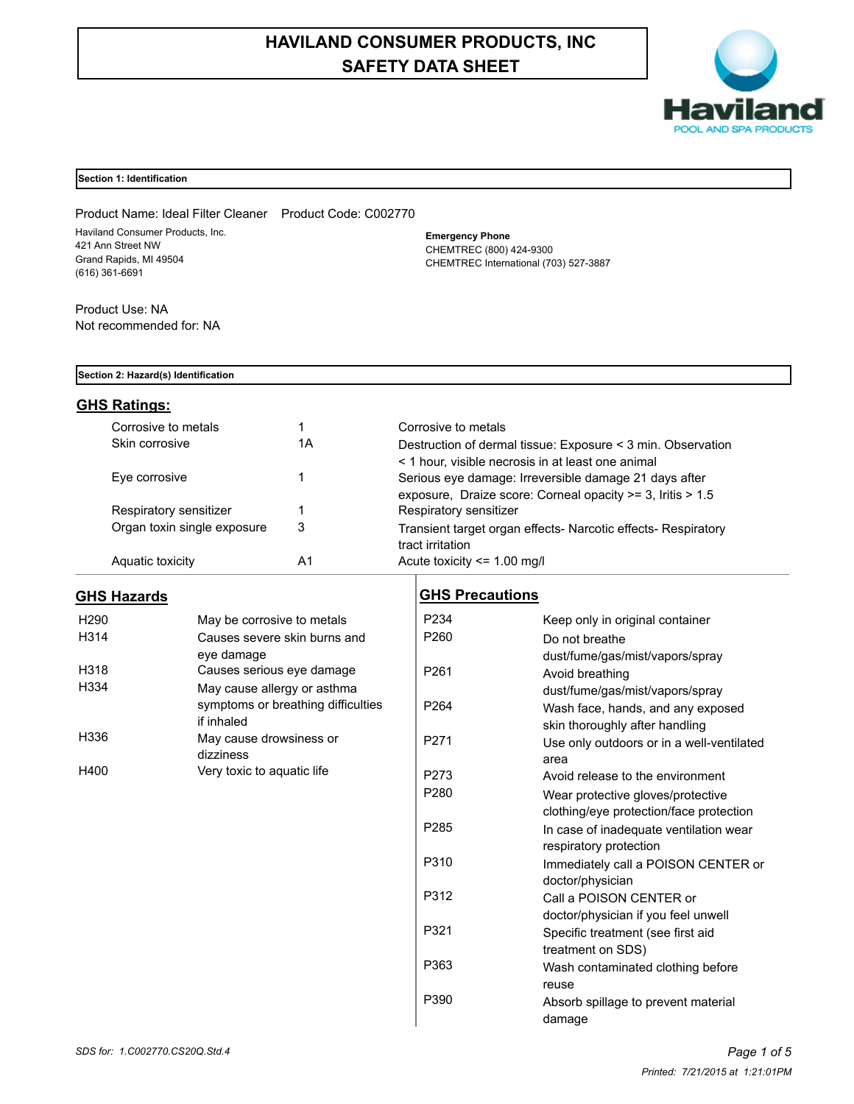# **HAVILAND CONSUMER PRODUCTS, INC SAFETY DATA SHEET**



#### **Section 1: Identification**

Product Name: Ideal Filter Cleaner Product Code: C002770 Haviland Consumer Products, Inc. 421 Ann Street NW Grand Rapids, MI 49504 (616) 361-6691

**Emergency Phone** CHEMTREC (800) 424-9300 CHEMTREC International (703) 527-3887

Product Use: NA Not recommended for: NA

#### **Section 2: Hazard(s) Identification**

## **GHS Ratings:**

| Corrosive to metals         |    | Corrosive to metals                                                                                                 |
|-----------------------------|----|---------------------------------------------------------------------------------------------------------------------|
| Skin corrosive              | 1А | Destruction of dermal tissue: Exposure < 3 min. Observation<br>< 1 hour, visible necrosis in at least one animal    |
| Eye corrosive               |    | Serious eye damage: Irreversible damage 21 days after<br>exposure, Draize score: Corneal opacity >= 3, Iritis > 1.5 |
| Respiratory sensitizer      |    | Respiratory sensitizer                                                                                              |
| Organ toxin single exposure | 3  | Transient target organ effects- Narcotic effects- Respiratory<br>tract irritation                                   |
| Aquatic toxicity            | A1 | Acute toxicity $\leq$ 1.00 mg/l                                                                                     |

## **GHS Hazards**

| H <sub>290</sub> | May be corrosive to metals         |
|------------------|------------------------------------|
| H314             | Causes severe skin burns and       |
|                  | eve damage                         |
| H318             | Causes serious eye damage          |
| H334             | May cause allergy or asthma        |
|                  | symptoms or breathing difficulties |
|                  | if inhaled                         |
| H336             | May cause drowsiness or            |
|                  | dizziness                          |
| H400             | Very toxic to aquatic life         |

## **GHS Precautions**

| P234             | Keep only in original container           |
|------------------|-------------------------------------------|
| P260             | Do not breathe                            |
|                  | dust/fume/gas/mist/vapors/spray           |
| P <sub>261</sub> | Avoid breathing                           |
|                  | dust/fume/gas/mist/vapors/spray           |
| P <sub>264</sub> | Wash face, hands, and any exposed         |
|                  | skin thoroughly after handling            |
| P271             | Use only outdoors or in a well-ventilated |
|                  | area                                      |
| P273             | Avoid release to the environment          |
| P280             | Wear protective gloves/protective         |
|                  | clothing/eye protection/face protection   |
| P <sub>285</sub> | In case of inadequate ventilation wear    |
|                  | respiratory protection                    |
| P310             | Immediately call a POISON CENTER or       |
|                  | doctor/physician                          |
| P312             | Call a POISON CENTER or                   |
|                  | doctor/physician if you feel unwell       |
| P321             | Specific treatment (see first aid         |
|                  | treatment on SDS)                         |
| P363             | Wash contaminated clothing before         |
|                  | reuse                                     |
| P390             | Absorb spillage to prevent material       |
|                  | damage                                    |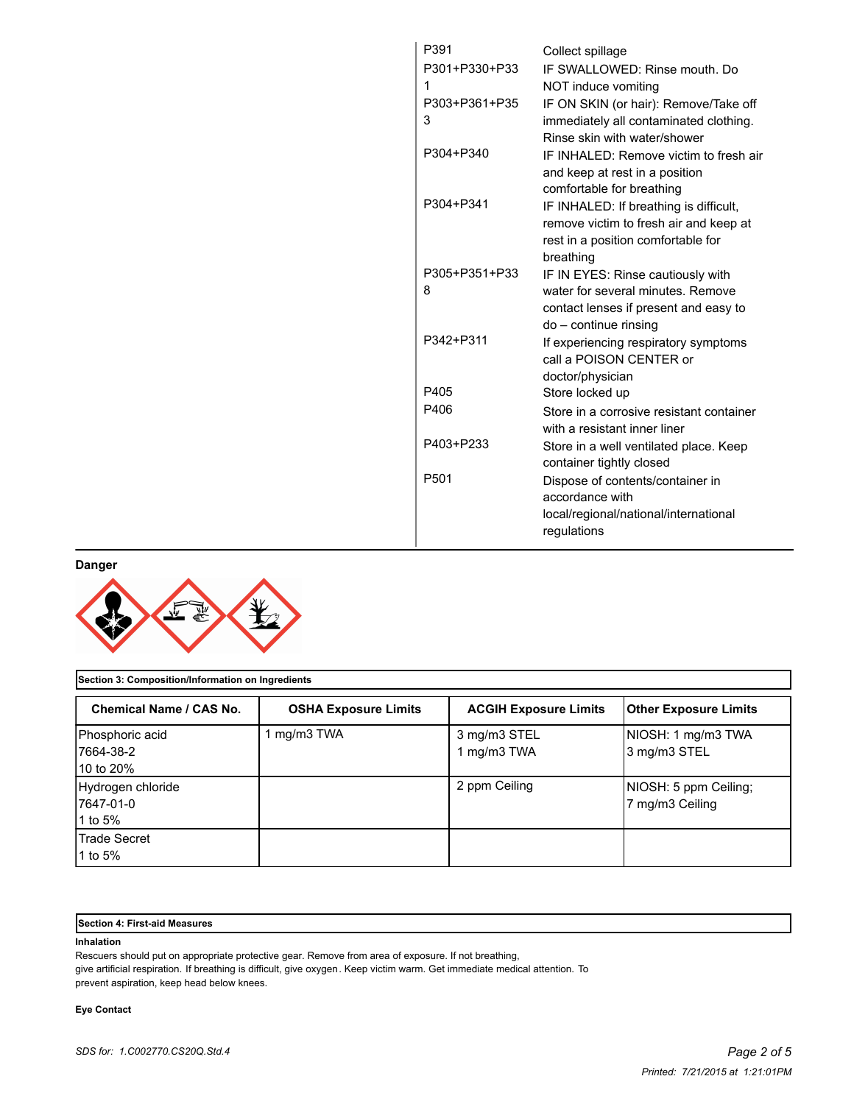| P391             | Collect spillage                                                         |
|------------------|--------------------------------------------------------------------------|
| P301+P330+P33    | IF SWALLOWED: Rinse mouth, Do                                            |
| 1                | NOT induce vomiting                                                      |
| P303+P361+P35    | IF ON SKIN (or hair): Remove/Take off                                    |
| 3                | immediately all contaminated clothing.                                   |
|                  | Rinse skin with water/shower                                             |
| P304+P340        | IF INHAI FD: Remove victim to fresh air                                  |
|                  | and keep at rest in a position                                           |
|                  | comfortable for breathing                                                |
| P304+P341        | IF INHALED: If breathing is difficult,                                   |
|                  | remove victim to fresh air and keep at                                   |
|                  | rest in a position comfortable for                                       |
|                  | breathing                                                                |
| P305+P351+P33    | IF IN EYES: Rinse cautiously with                                        |
| 8                | water for several minutes. Remove                                        |
|                  | contact lenses if present and easy to                                    |
| P342+P311        | do - continue rinsing                                                    |
|                  | If experiencing respiratory symptoms                                     |
|                  | call a POISON CENTER or                                                  |
| P405             | doctor/physician                                                         |
| P406             | Store locked up                                                          |
|                  | Store in a corrosive resistant container<br>with a resistant inner liner |
| P403+P233        |                                                                          |
|                  | Store in a well ventilated place. Keep                                   |
| P <sub>501</sub> | container tightly closed                                                 |
|                  | Dispose of contents/container in<br>accordance with                      |
|                  | local/regional/national/international                                    |
|                  | regulations                                                              |
|                  |                                                                          |

**Danger**



| Section 3: Composition/Information on Ingredients |                             |                              |                                          |  |
|---------------------------------------------------|-----------------------------|------------------------------|------------------------------------------|--|
| Chemical Name / CAS No.                           | <b>OSHA Exposure Limits</b> | <b>ACGIH Exposure Limits</b> | <b>Other Exposure Limits</b>             |  |
| Phosphoric acid<br>17664-38-2<br>10 to 20%        | 1 mg/m3 TWA                 | 3 mg/m3 STEL<br>1 mg/m3 TWA  | NIOSH: 1 mg/m3 TWA<br>3 mg/m3 STEL       |  |
| Hydrogen chloride<br>7647-01-0<br>1 to 5%         |                             | 2 ppm Ceiling                | NIOSH: 5 ppm Ceiling;<br>7 mg/m3 Ceiling |  |
| <b>Trade Secret</b><br>1 to 5%                    |                             |                              |                                          |  |

#### **Section 4: First-aid Measures**

#### **Inhalation**

Rescuers should put on appropriate protective gear. Remove from area of exposure. If not breathing,

give artificial respiration. If breathing is difficult, give oxygen. Keep victim warm. Get immediate medical attention. To prevent aspiration, keep head below knees.

#### **Eye Contact**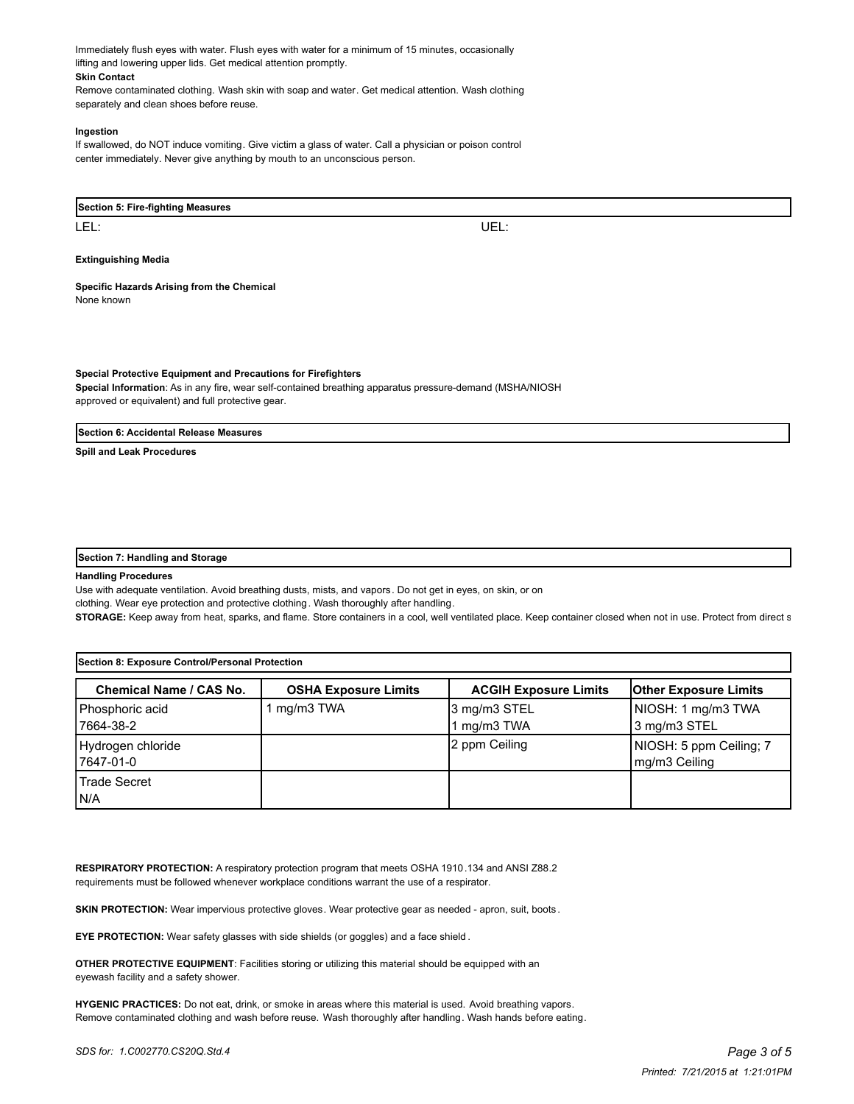Immediately flush eyes with water. Flush eyes with water for a minimum of 15 minutes, occasionally lifting and lowering upper lids. Get medical attention promptly. **Skin Contact**

Remove contaminated clothing. Wash skin with soap and water. Get medical attention. Wash clothing separately and clean shoes before reuse.

#### **Ingestion**

If swallowed, do NOT induce vomiting. Give victim a glass of water. Call a physician or poison control center immediately. Never give anything by mouth to an unconscious person.

#### **Section 5: Fire-fighting Measures**

LEL: UEL:

#### **Extinguishing Media**

### **Specific Hazards Arising from the Chemical**

None known

**Special Protective Equipment and Precautions for Firefighters Special Information**: As in any fire, wear self-contained breathing apparatus pressure-demand (MSHA/NIOSH approved or equivalent) and full protective gear.

#### **Section 6: Accidental Release Measures**

**Spill and Leak Procedures**

#### **Section 7: Handling and Storage**

#### **Handling Procedures**

Use with adequate ventilation. Avoid breathing dusts, mists, and vapors. Do not get in eyes, on skin, or on clothing. Wear eye protection and protective clothing. Wash thoroughly after handling.

STORAGE: Keep away from heat, sparks, and flame. Store containers in a cool, well ventilated place. Keep container closed when not in use. Protect from direct s

| Section 8: Exposure Control/Personal Protection |                             |                              |                                          |
|-------------------------------------------------|-----------------------------|------------------------------|------------------------------------------|
| <b>Chemical Name / CAS No.</b>                  | <b>OSHA Exposure Limits</b> | <b>ACGIH Exposure Limits</b> | <b>Other Exposure Limits</b>             |
| Phosphoric acid<br>17664-38-2                   | mg/m3 TWA                   | 3 mg/m3 STEL<br>1 mg/m3 TWA  | NIOSH: 1 mg/m3 TWA<br>3 mg/m3 STEL       |
| Hydrogen chloride<br>7647-01-0                  |                             | 2 ppm Ceiling                | NIOSH: 5 ppm Ceiling; 7<br>mg/m3 Ceiling |
| l Trade Secret<br>IN/A                          |                             |                              |                                          |

**RESPIRATORY PROTECTION:** A respiratory protection program that meets OSHA 1910.134 and ANSI Z88.2 requirements must be followed whenever workplace conditions warrant the use of a respirator.

**SKIN PROTECTION:** Wear impervious protective gloves. Wear protective gear as needed - apron, suit, boots.

**EYE PROTECTION:** Wear safety glasses with side shields (or goggles) and a face shield .

**OTHER PROTECTIVE EQUIPMENT**: Facilities storing or utilizing this material should be equipped with an eyewash facility and a safety shower.

**HYGENIC PRACTICES:** Do not eat, drink, or smoke in areas where this material is used. Avoid breathing vapors. Remove contaminated clothing and wash before reuse. Wash thoroughly after handling. Wash hands before eating.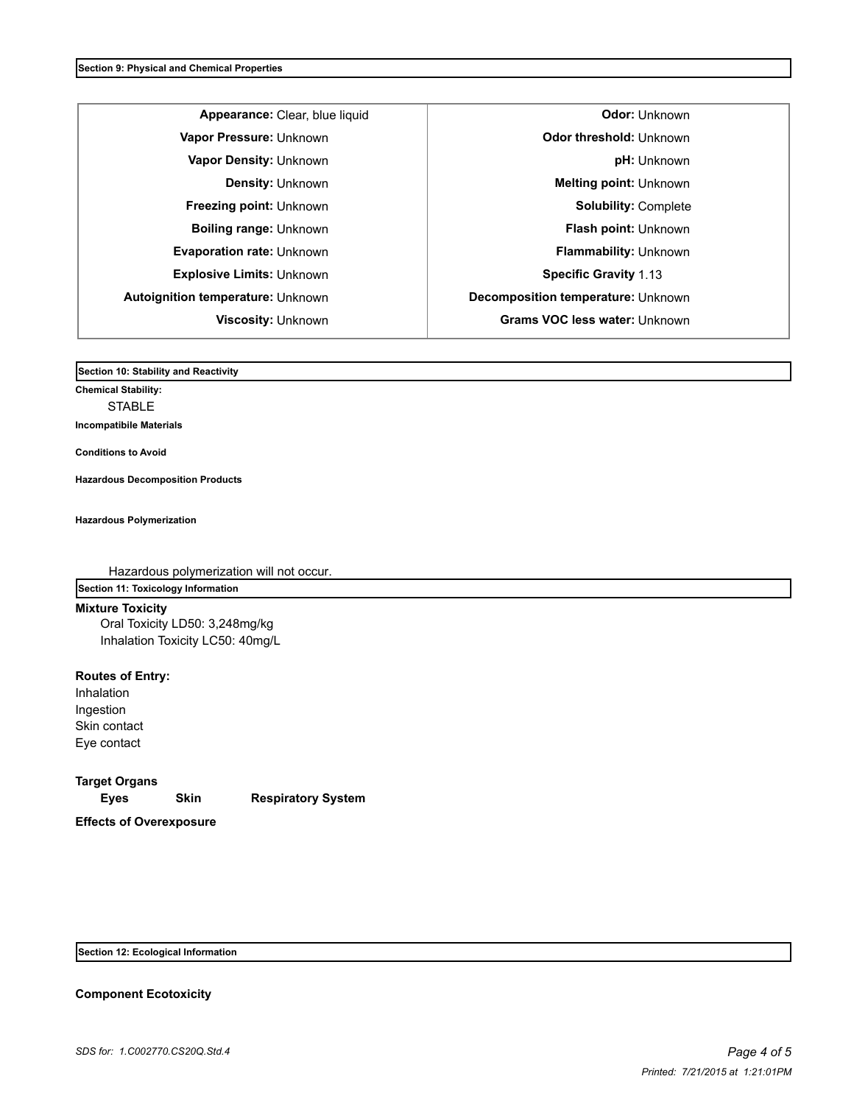|                                          | Appearance: Clear, blue liqu |
|------------------------------------------|------------------------------|
| Vapor Pressure: Unknown                  |                              |
| Vapor Density: Unknown                   |                              |
| <b>Density: Unknown</b>                  |                              |
| Freezing point: Unknown                  |                              |
| <b>Boiling range: Unknown</b>            |                              |
| Evaporation rate: Unknown                |                              |
| <b>Explosive Limits: Unknown</b>         |                              |
| <b>Autoignition temperature: Unknown</b> |                              |
| <b>Viscosity: Unknown</b>                |                              |
|                                          |                              |

**A Apple 2018 Apple 2018 Contracts Codor:** Unknown **Vapor Pressure:** Unknown **Odor threshold:** Unknown **Vapor Density:** Unknown **pH:** Unknown **Melting point: Unknown Solubility: Complete Flash point: Unknown Flammability:** Unknown **Specific Gravity** 1.13 **Autoignition temperature:** Unknown **Decomposition temperature:** Unknown **Viscosity:** Unknown **Grams VOC less water:** Unknown

**Section 10: Stability and Reactivity** 

**Chemical Stability:** STABLE **Incompatibile Materials** 

**Conditions to Avoid**

**Hazardous Decomposition Products**

**Hazardous Polymerization**

Hazardous polymerization will not occur. **Section 11: Toxicology Information**

## **Mixture Toxicity**

Oral Toxicity LD50: 3,248mg/kg Inhalation Toxicity LC50: 40mg/L

**Routes of Entry:** Inhalation Ingestion Skin contact Eye contact

**Target Organs Eyes Skin Respiratory System Effects of Overexposure**

**Section 12: Ecological Information**

### **Component Ecotoxicity**